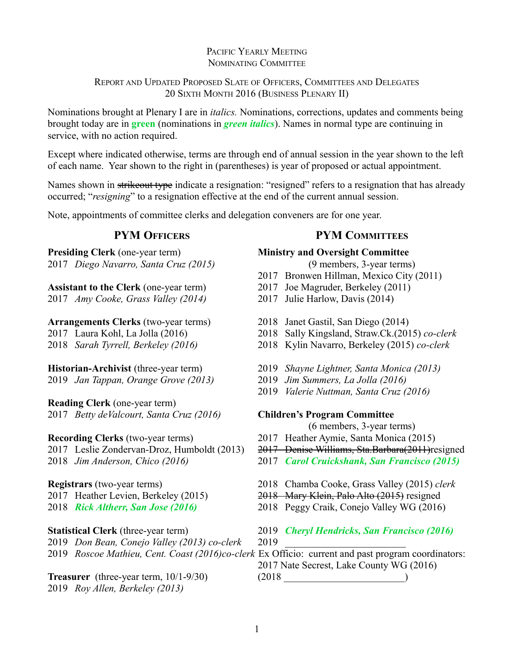# PACIFIC YEARLY MEETING NOMINATING COMMITTEE

# REPORT AND UPDATED PROPOSED SLATE OF OFFICERS, COMMITTEES AND DELEGATES 20 SIXTH MONTH 2016 (BUSINESS PLENARY II)

Nominations brought at Plenary I are in *italics.* Nominations, corrections, updates and comments being brought today are in **green** (nominations in *green italics*). Names in normal type are continuing in service, with no action required.

Except where indicated otherwise, terms are through end of annual session in the year shown to the left of each name. Year shown to the right in (parentheses) is year of proposed or actual appointment.

Names shown in strikeout type indicate a resignation: "resigned" refers to a resignation that has already occurred; "*resigning*" to a resignation effective at the end of the current annual session.

Note, appointments of committee clerks and delegation conveners are for one year.

# **PYM OFFICERS**

**Presiding Clerk** (one-year term) 2017 *Diego Navarro, Santa Cruz (2015)*

**Assistant to the Clerk** (one-year term) 2017 *Amy Cooke, Grass Valley (2014)*

# **Arrangements Clerks** (two-year terms)

2017 Laura Kohl, La Jolla (2016)

2018 *Sarah Tyrrell, Berkeley (2016)*

**Historian-Archivist** (three-year term)

2019 *Jan Tappan, Orange Grove (2013)*

**Reading Clerk** (one-year term) 2017 *Betty deValcourt, Santa Cruz (2016)*

**Recording Clerks** (two-year terms) 2017 Leslie Zondervan-Droz, Humboldt (2013) 2018 *Jim Anderson, Chico (2016)*

# **Registrars** (two-year terms)

2017 Heather Levien, Berkeley (2015)

2018 *Rick Altherr, San Jose (2016)*

# **Statistical Clerk** (three-year term)

2019 *Don Bean, Conejo Valley (2013) co-clerk*

**Treasurer** (three-year term, 10/1-9/30) 2019 *Roy Allen, Berkeley (2013)*

# **PYM COMMITTEES**

# **Ministry and Oversight Committee**

(9 members, 3-year terms)

- 2017 Bronwen Hillman, Mexico City (2011)
- 2017 Joe Magruder, Berkeley (2011)
- 2017 Julie Harlow, Davis (2014)
- 2018 Janet Gastil, San Diego (2014)
- 2018 Sally Kingsland, Straw.Ck.(2015) *co-clerk*
- 2018 Kylin Navarro, Berkeley (2015) *co-clerk*
- 2019 *Shayne Lightner, Santa Monica (2013)*
- 2019 *Jim Summers, La Jolla (2016)*
- 2019 *Valerie Nuttman, Santa Cruz (2016)*

## **Children's Program Committee**

(6 members, 3-year terms)

- 2017 Heather Aymie, Santa Monica (2015)
- 2017 Denise Williams, Sta.Barbara(2011)resigned
- 2017 *Carol Cruickshank, San Francisco (2015)*
- 2018 Chamba Cooke, Grass Valley (2015) *clerk*
- 2018 Mary Klein, Palo Alto (2015) resigned
- 2018 Peggy Craik, Conejo Valley WG (2016)
- 2019 *Cheryl Hendricks, San Francisco (2016)*
- 2019 \_\_\_\_\_\_\_\_\_\_\_\_\_\_\_\_\_\_\_\_\_\_\_\_

2019 *Roscoe Mathieu, Cent. Coast (2016)co-clerk* Ex Officio: current and past program coordinators: 2017 Nate Secrest, Lake County WG (2016)

 $(2018$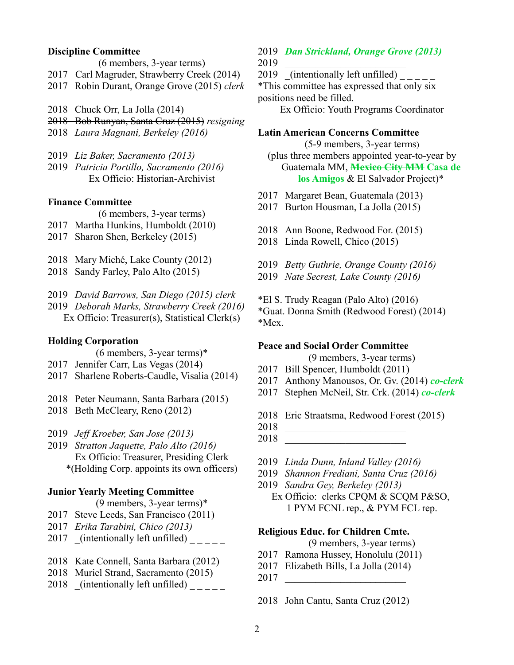### **Discipline Committee**

(6 members, 3-year terms)

- 2017 Carl Magruder, Strawberry Creek (2014)
- 2017 Robin Durant, Orange Grove (2015) *clerk*
- 2018 Chuck Orr, La Jolla (2014)
- 2018 Bob Runyan, Santa Cruz (2015) *resigning*
- 2018 *Laura Magnani, Berkeley (2016)*
- 2019 *Liz Baker, Sacramento (2013)*
- 2019 *Patricia Portillo, Sacramento (2016)* Ex Officio: Historian-Archivist

#### **Finance Committee**

(6 members, 3-year terms)

- 2017 Martha Hunkins, Humboldt (2010)
- 2017 Sharon Shen, Berkeley (2015)
- 2018 Mary Miché, Lake County (2012)
- 2018 Sandy Farley, Palo Alto (2015)
- 2019 *David Barrows, San Diego (2015) clerk*
- 2019 *Deborah Marks, Strawberry Creek (2016)* Ex Officio: Treasurer(s), Statistical Clerk(s)

## **Holding Corporation**

(6 members, 3-year terms)\*

- 2017 Jennifer Carr, Las Vegas (2014)
- 2017 Sharlene Roberts-Caudle, Visalia (2014)
- 2018 Peter Neumann, Santa Barbara (2015)
- 2018 Beth McCleary, Reno (2012)
- 2019 *Jeff Kroeber, San Jose (2013)*
- 2019 *Stratton Jaquette, Palo Alto (2016)* Ex Officio: Treasurer, Presiding Clerk \*(Holding Corp. appoints its own officers)

#### **Junior Yearly Meeting Committee**

(9 members, 3-year terms)\*

- 2017 Steve Leeds, San Francisco (2011)
- 2017 *Erika Tarabini, Chico (2013)*
- 2017 (intentionally left unfilled)  $\frac{1}{2}$
- 2018 Kate Connell, Santa Barbara (2012)
- 2018 Muriel Strand, Sacramento (2015)
- 2018 (intentionally left unfilled)  $\frac{1}{2}$

#### 2019 *Dan Strickland, Orange Grove (2013)* 2019 \_\_\_\_\_\_\_\_\_\_\_\_\_\_\_\_\_\_\_\_\_\_\_\_

2019 (intentionally left unfilled) \_\_

\*This committee has expressed that only six positions need be filled.

Ex Officio: Youth Programs Coordinator

#### **Latin American Concerns Committee**

(5-9 members, 3-year terms)

(plus three members appointed year-to-year by Guatemala MM, **Mexico City MM Casa de los Amigos** & El Salvador Project)\*

- 2017 Margaret Bean, Guatemala (2013)
- 2017 Burton Housman, La Jolla (2015)
- 2018 Ann Boone, Redwood For. (2015)
- 2018 Linda Rowell, Chico (2015)
- 2019 *Betty Guthrie, Orange County (2016)*
- 2019 *Nate Secrest, Lake County (2016)*
- \*El S. Trudy Reagan (Palo Alto) (2016)

\*Guat. Donna Smith (Redwood Forest) (2014) \*Mex.

#### **Peace and Social Order Committee**

(9 members, 3-year terms)

- 2017 Bill Spencer, Humboldt (2011)
- 2017 Anthony Manousos, Or. Gv. (2014) *co-clerk*
- 2017 Stephen McNeil, Str. Crk. (2014) *co-clerk*
- 2018 Eric Straatsma, Redwood Forest (2015)
- 2018 \_\_\_\_\_\_\_\_\_\_\_\_\_\_\_\_\_\_\_\_\_\_\_\_
- 2018 \_\_\_\_\_\_\_\_\_\_\_\_\_\_\_\_\_\_\_\_\_\_\_\_
- 2019 *Linda Dunn, Inland Valley (2016)*
- 2019 *Shannon Frediani, Santa Cruz (2016)*
- 2019 *Sandra Gey, Berkeley (2013)*
	- Ex Officio: clerks CPQM & SCQM P&SO, 1 PYM FCNL rep., & PYM FCL rep.

### **Religious Educ. for Children Cmte.**

(9 members, 3-year terms)

- 2017 Ramona Hussey, Honolulu (2011)
- 2017 Elizabeth Bills, La Jolla (2014)
- 2017 **\_\_\_\_\_\_\_\_\_\_\_\_\_\_\_\_\_\_\_\_\_\_\_\_**

2018 John Cantu, Santa Cruz (2012)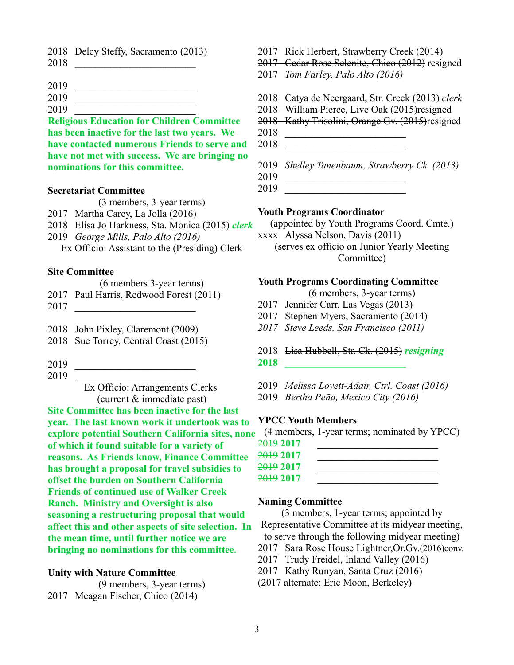- 2018 Delcy Steffy, Sacramento (2013)
- 2018 **\_\_\_\_\_\_\_\_\_\_\_\_\_\_\_\_\_\_\_\_\_\_\_\_**
- 2019 \_\_\_\_\_\_\_\_\_\_\_\_\_\_\_\_\_\_\_\_\_\_\_\_
- 2019 \_\_\_\_\_\_\_\_\_\_\_\_\_\_\_\_\_\_\_\_\_\_\_\_
- 2019 \_\_\_\_\_\_\_\_\_\_\_\_\_\_\_\_\_\_\_\_\_\_\_\_

**Religious Education for Children Committee has been inactive for the last two years. We have contacted numerous Friends to serve and have not met with success. We are bringing no nominations for this committee.**

### **Secretariat Committee**

(3 members, 3-year terms)

- 2017 Martha Carey, La Jolla (2016)
- 2018 Elisa Jo Harkness, Sta. Monica (2015) *clerk*
- 2019 *George Mills, Palo Alto (2016)*

Ex Officio: Assistant to the (Presiding) Clerk

## **Site Committee**

- (6 members 3-year terms)
- 2017 Paul Harris, Redwood Forest (2011)
- 2017 **\_\_\_\_\_\_\_\_\_\_\_\_\_\_\_\_\_\_\_\_\_\_\_\_**
- 2018 John Pixley, Claremont (2009)
- 2018 Sue Torrey, Central Coast (2015)
- 2019 \_\_\_\_\_\_\_\_\_\_\_\_\_\_\_\_\_\_\_\_\_\_\_\_
- 2019 \_\_\_\_\_\_\_\_\_\_\_\_\_\_\_\_\_\_\_\_\_\_\_\_

Ex Officio: Arrangements Clerks (current & immediate past)

**Site Committee has been inactive for the last year. The last known work it undertook was to explore potential Southern California sites, none of which it found suitable for a variety of reasons. As Friends know, Finance Committee has brought a proposal for travel subsidies to offset the burden on Southern California Friends of continued use of Walker Creek Ranch. Ministry and Oversight is also seasoning a restructuring proposal that would affect this and other aspects of site selection. In the mean time, until further notice we are bringing no nominations for this committee.**

# **Unity with Nature Committee**

(9 members, 3-year terms) 2017 Meagan Fischer, Chico (2014)

- 2017 Rick Herbert, Strawberry Creek (2014)
- 2017 Cedar Rose Selenite, Chico (2012) resigned
- 2017 *Tom Farley, Palo Alto (2016)*
- 2018 Catya de Neergaard, Str. Creek (2013) *clerk*
- 2018 William Pierce, Live Oak (2015)resigned
- 2018Kathy Trisolini, Orange Gv. (2015)resigned
- 2018 **\_\_\_\_\_\_\_\_\_\_\_\_\_\_\_\_\_\_\_\_\_\_\_\_**
- 2018 **\_\_\_\_\_\_\_\_\_\_\_\_\_\_\_\_\_\_\_\_\_\_\_\_**

2019 *Shelley Tanenbaum, Strawberry Ck. (2013)*

- 2019 \_\_\_\_\_\_\_\_\_\_\_\_\_\_\_\_\_\_\_\_\_\_\_\_
- 2019 \_\_\_\_\_\_\_\_\_\_\_\_\_\_\_\_\_\_\_\_\_\_\_\_

## **Youth Programs Coordinator**

(appointed by Youth Programs Coord. Cmte.) xxxx Alyssa Nelson, Davis (2011)

(serves ex officio on Junior Yearly Meeting Committee)

### **Youth Programs Coordinating Committee**

(6 members, 3-year terms)

- 2017 Jennifer Carr, Las Vegas (2013)
- 2017 Stephen Myers, Sacramento (2014)
- *2017 Steve Leeds, San Francisco (2011)*

## 2018 Lisa Hubbell, Str. Ck. (2015) *resigning*

- **2018 \_\_\_\_\_\_\_\_\_\_\_\_\_\_\_\_\_\_\_\_\_\_\_\_**
- 2019 *Melissa Lovett-Adair, Ctrl. Coast (2016)*
- 2019 *Bertha Peña, Mexico City (2016)*

## **YPCC Youth Members**

(4 members, 1-year terms; nominated by YPCC)

| <del>2019</del> 2017 |  |
|----------------------|--|
| <del>2019</del> 2017 |  |
| <del>2019</del> 2017 |  |
| <del>2019</del> 2017 |  |

#### **Naming Committee**

(3 members, 1-year terms; appointed by Representative Committee at its midyear meeting, to serve through the following midyear meeting)

- 2017 Sara Rose House Lightner,Or.Gv.(2016)conv.
- 2017 Trudy Freidel, Inland Valley (2016)
- 2017 Kathy Runyan, Santa Cruz (2016)
- (2017 alternate: Eric Moon, Berkeley**)**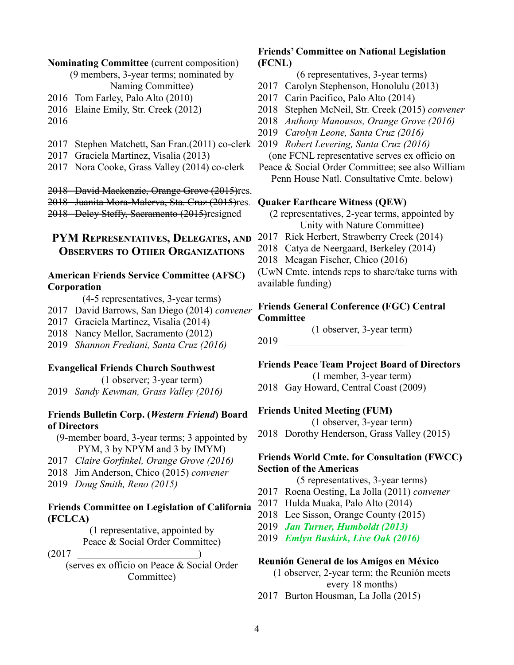#### **Nominating Committee** (current composition)

(9 members, 3-year terms; nominated by Naming Committee)

- 2016 Tom Farley, Palo Alto (2010)
- 2016 Elaine Emily, Str. Creek (2012)
- 2016
- 2017 Stephen Matchett, San Fran.(2011) co-clerk 2019 *Robert Levering, Santa Cruz (2016)*
- 2017 Graciela Martínez, Visalia (2013)
- 2017 Nora Cooke, Grass Valley (2014) co-clerk

2018 David Mackenzie, Orange Grove (2015)res.

2018 Juanita Mora-Malerva, Sta. Cruz (2015)res. 2018 Delcy Steffy, Sacramento (2015)resigned

# **PYM REPRESENTATIVES, DELEGATES, AND OBSERVERS TO OTHER ORGANIZATIONS**

# **American Friends Service Committee (AFSC) Corporation**

(4-5 representatives, 3-year terms)

- 2017 David Barrows, San Diego (2014) *convener*
- 2017 Graciela Martinez, Visalia (2014)
- 2018 Nancy Mellor, Sacramento (2012)
- 2019 *Shannon Frediani, Santa Cruz (2016)*

### **Evangelical Friends Church Southwest**

(1 observer; 3-year term) 2019 *Sandy Kewman, Grass Valley (2016)*

## **Friends Bulletin Corp. (***Western Friend***) Board of Directors**

(9-member board, 3-year terms; 3 appointed by PYM, 3 by NPYM and 3 by IMYM)

- 2017 *Claire Gorfinkel, Orange Grove (2016)*
- 2018 Jim Anderson, Chico (2015) *convener*
- 2019 *Doug Smith, Reno (2015)*

## **Friends Committee on Legislation of California (FCLCA)**

(1 representative, appointed by Peace & Social Order Committee)

 $(2017$ 

(serves ex officio on Peace & Social Order Committee)

# **Friends' Committee on National Legislation (FCNL)**

(6 representatives, 3-year terms)

- 2017 Carolyn Stephenson, Honolulu (2013)
- 2017 Carin Pacifico, Palo Alto (2014)
- 2018 Stephen McNeil, Str. Creek (2015) *convener*
- 2018 *Anthony Manousos, Orange Grove (2016)*
- 2019 *Carolyn Leone, Santa Cruz (2016)*
- 

(one FCNL representative serves ex officio on

Peace & Social Order Committee; see also William Penn House Natl. Consultative Cmte. below)

#### **Quaker Earthcare Witness (QEW)**

(2 representatives, 2-year terms, appointed by Unity with Nature Committee)

- 2017 Rick Herbert, Strawberry Creek (2014)
- 2018 Catya de Neergaard, Berkeley (2014)
- 2018 Meagan Fischer, Chico (2016)

(UwN Cmte. intends reps to share/take turns with available funding)

### **Friends General Conference (FGC) Central Committee**

(1 observer, 3-year term)

2019 \_\_\_\_\_\_\_\_\_\_\_\_\_\_\_\_\_\_\_\_\_\_\_\_

**Friends Peace Team Project Board of Directors**

(1 member, 3-year term)

2018 Gay Howard, Central Coast (2009)

#### **Friends United Meeting (FUM)**

(1 observer, 3-year term)

2018 Dorothy Henderson, Grass Valley (2015)

# **Friends World Cmte. for Consultation (FWCC) Section of the Americas**

(5 representatives, 3-year terms)

- 2017 Roena Oesting, La Jolla (2011) *convener*
- 2017 Hulda Muaka, Palo Alto (2014)
- 2018 Lee Sisson, Orange County (2015)
- 2019 *Jan Turner, Humboldt (2013)*
- 2019 *Emlyn Buskirk, Live Oak (2016)*

#### **Reunión General de los Amigos en México**

(1 observer, 2-year term; the Reunión meets every 18 months)

2017 Burton Housman, La Jolla (2015)